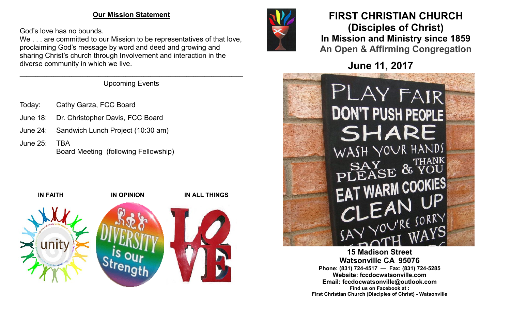#### **Our Mission Statement**

God's love has no bounds.

We . . . are committed to our Mission to be representatives of that love, proclaiming God's message by word and deed and growing and sharing Christ's church through Involvement and interaction in the diverse community in which we live.

#### $\mathcal{L}_\mathcal{L} = \mathcal{L}_\mathcal{L} = \mathcal{L}_\mathcal{L} = \mathcal{L}_\mathcal{L} = \mathcal{L}_\mathcal{L} = \mathcal{L}_\mathcal{L} = \mathcal{L}_\mathcal{L} = \mathcal{L}_\mathcal{L} = \mathcal{L}_\mathcal{L} = \mathcal{L}_\mathcal{L} = \mathcal{L}_\mathcal{L} = \mathcal{L}_\mathcal{L} = \mathcal{L}_\mathcal{L} = \mathcal{L}_\mathcal{L} = \mathcal{L}_\mathcal{L} = \mathcal{L}_\mathcal{L} = \mathcal{L}_\mathcal{L}$ Upcoming Events

- Today: Cathy Garza, FCC Board
- June 18: Dr. Christopher Davis, FCC Board
- June 24: Sandwich Lunch Project (10:30 am)
- June 25: TBA Board Meeting (following Fellowship)





# **FIRST CHRISTIAN CHURCH (Disciples of Christ) In Mission and Ministry since 1859 An Open & Affirming Congregation**

**June 11, 2017**



**15 Madison Street Watsonville CA 95076 Phone: (831) 724-4517 — Fax: (831) 724-5285 Website: fccdocwatsonville.com Email: fccdocwatsonville@outlook.com Find us on Facebook at : First Christian Church (Disciples of Christ) - Watsonville**